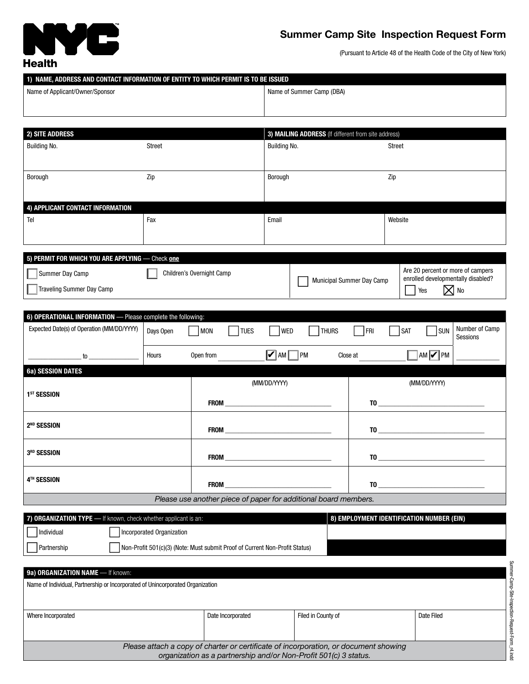

## **Summer Camp Site Inspection Request Form**

(Pursuant to Article 48 of the Health Code of the City of New York)

| 1) NAME, ADDRESS AND CONTACT INFORMATION OF ENTITY TO WHICH PERMIT IS TO BE ISSUED |        |                                                     |  |  |  |  |  |
|------------------------------------------------------------------------------------|--------|-----------------------------------------------------|--|--|--|--|--|
| Name of Applicant/Owner/Sponsor                                                    |        | Name of Summer Camp (DBA)                           |  |  |  |  |  |
|                                                                                    |        |                                                     |  |  |  |  |  |
|                                                                                    |        |                                                     |  |  |  |  |  |
|                                                                                    |        |                                                     |  |  |  |  |  |
| <b>2) SITE ADDRESS</b>                                                             |        | 3) MAILING ADDRESS (If different from site address) |  |  |  |  |  |
| Building No.                                                                       | Street | Building No.<br>Street                              |  |  |  |  |  |

| Dununiy ivo.                     | <b>UU UU L</b> | Dununiy No. | <b>UU UU L</b> |  |  |  |  |
|----------------------------------|----------------|-------------|----------------|--|--|--|--|
| Borough                          | Zip            | Borough     | Zip            |  |  |  |  |
| 4) APPLICANT CONTACT INFORMATION |                |             |                |  |  |  |  |
| Tel                              | Fax            | Email       | Website        |  |  |  |  |

| 5) PERMIT FOR WHICH YOU ARE APPLYING — Check one                          |                                  |                                                                                            |  |  |  |  |  |
|---------------------------------------------------------------------------|----------------------------------|--------------------------------------------------------------------------------------------|--|--|--|--|--|
| Children's Overnight Camp<br>Summer Day Camp<br>Traveling Summer Day Camp | <b>Municipal Summer Day Camp</b> | Are 20 percent or more of campers<br>enrolled developmentally disabled?<br>Yes<br>$X$   No |  |  |  |  |  |

| 6) OPERATIONAL INFORMATION - Please complete the following:     |           |                          |                          |             |                 |                                                                                                                                                                                                                                                                                                                                                                 |                                                                                                                                                                                                                                                                                                              |                |                            |
|-----------------------------------------------------------------|-----------|--------------------------|--------------------------|-------------|-----------------|-----------------------------------------------------------------------------------------------------------------------------------------------------------------------------------------------------------------------------------------------------------------------------------------------------------------------------------------------------------------|--------------------------------------------------------------------------------------------------------------------------------------------------------------------------------------------------------------------------------------------------------------------------------------------------------------|----------------|----------------------------|
| Expected Date(s) of Operation (MM/DD/YYYY)                      | Days Open | <b>MON</b>               | TUES                     | WED         | THURS           | $ $   FRI                                                                                                                                                                                                                                                                                                                                                       | <b>SAT</b><br>$\mathbf{I}$                                                                                                                                                                                                                                                                                   | $\vert$ SUN    | Number of Camp<br>Sessions |
|                                                                 |           |                          |                          |             |                 |                                                                                                                                                                                                                                                                                                                                                                 |                                                                                                                                                                                                                                                                                                              |                |                            |
| $\overline{a}$ to $\overline{a}$                                | Hours     | Open from                |                          | $\nabla$ AM | PM              | Close at                                                                                                                                                                                                                                                                                                                                                        |                                                                                                                                                                                                                                                                                                              | AM <b>V</b> PM |                            |
| <b>6a) SESSION DATES</b>                                        |           |                          |                          |             |                 |                                                                                                                                                                                                                                                                                                                                                                 |                                                                                                                                                                                                                                                                                                              |                |                            |
|                                                                 |           |                          | (MM/DD/YYYY)             |             |                 |                                                                                                                                                                                                                                                                                                                                                                 | (MM/DD/YYYY)                                                                                                                                                                                                                                                                                                 |                |                            |
| 1 <sup>ST</sup> SESSION                                         |           |                          |                          |             |                 |                                                                                                                                                                                                                                                                                                                                                                 |                                                                                                                                                                                                                                                                                                              |                |                            |
|                                                                 |           |                          | <b>FROM EXAMPLE 2004</b> |             |                 |                                                                                                                                                                                                                                                                                                                                                                 | $\overline{10}$ , and the set of $\overline{10}$ , and $\overline{10}$ , and $\overline{10}$ , and $\overline{10}$ , and $\overline{10}$ , and $\overline{10}$ , and $\overline{10}$ , and $\overline{10}$ , and $\overline{10}$ , and $\overline{10}$ , and $\overline{10}$ , and $\overline{10}$ , and $\$ |                |                            |
| 2 <sup>ND</sup> SESSION                                         |           |                          |                          |             |                 |                                                                                                                                                                                                                                                                                                                                                                 |                                                                                                                                                                                                                                                                                                              |                |                            |
|                                                                 |           | FROM <b>EXAMPLE 2004</b> |                          |             |                 | $\overline{10}$ $\overline{10}$ $\overline{10}$ $\overline{10}$ $\overline{10}$ $\overline{10}$ $\overline{10}$ $\overline{10}$ $\overline{10}$ $\overline{10}$ $\overline{10}$ $\overline{10}$ $\overline{10}$ $\overline{10}$ $\overline{10}$ $\overline{10}$ $\overline{10}$ $\overline{10}$ $\overline{10}$ $\overline{10}$ $\overline{10}$ $\overline{10}$ |                                                                                                                                                                                                                                                                                                              |                |                            |
|                                                                 |           |                          |                          |             |                 |                                                                                                                                                                                                                                                                                                                                                                 |                                                                                                                                                                                                                                                                                                              |                |                            |
| 3 <sup>RD</sup> SESSION                                         |           |                          |                          |             |                 | $\begin{tabular}{ c c c c } \hline \rule{0.3cm}{.03cm} \textbf{TO} & \rule{0.3cm}{.03cm} \multicolumn{2}{c }{\textbf{TO}}\\ \hline \end{tabular}$                                                                                                                                                                                                               |                                                                                                                                                                                                                                                                                                              |                |                            |
|                                                                 |           |                          |                          |             |                 |                                                                                                                                                                                                                                                                                                                                                                 |                                                                                                                                                                                                                                                                                                              |                |                            |
| 4TH SESSION                                                     |           |                          |                          |             | $\overline{10}$ |                                                                                                                                                                                                                                                                                                                                                                 |                                                                                                                                                                                                                                                                                                              |                |                            |
| Please use another piece of paper for additional board members. |           |                          |                          |             |                 |                                                                                                                                                                                                                                                                                                                                                                 |                                                                                                                                                                                                                                                                                                              |                |                            |
|                                                                 |           |                          |                          |             |                 | -------------                                                                                                                                                                                                                                                                                                                                                   |                                                                                                                                                                                                                                                                                                              |                |                            |

|              | 7) ORGANIZATION TYPE — If known, check whether applicant is an:             | 8) EMPLOYMENT IDENTIFICATION NUMBER (EIN) |
|--------------|-----------------------------------------------------------------------------|-------------------------------------------|
| l Individual | Incorporated Organization                                                   |                                           |
| Partnership  | Non-Profit 501(c)(3) (Note: Must submit Proof of Current Non-Profit Status) |                                           |

| 9a) ORGANIZATION NAME - If known:                                                                                                                        |                   |                    |            |  |  |  |  |
|----------------------------------------------------------------------------------------------------------------------------------------------------------|-------------------|--------------------|------------|--|--|--|--|
| Name of Individual, Partnership or Incorporated of Unincorporated Organization                                                                           |                   |                    |            |  |  |  |  |
|                                                                                                                                                          |                   |                    |            |  |  |  |  |
| Where Incorporated                                                                                                                                       | Date Incorporated | Filed in County of | Date Filed |  |  |  |  |
|                                                                                                                                                          |                   |                    |            |  |  |  |  |
| Please attach a copy of charter or certificate of incorporation, or document showing<br>organization as a partnership and/or Non-Profit 501(c) 3 status. |                   |                    |            |  |  |  |  |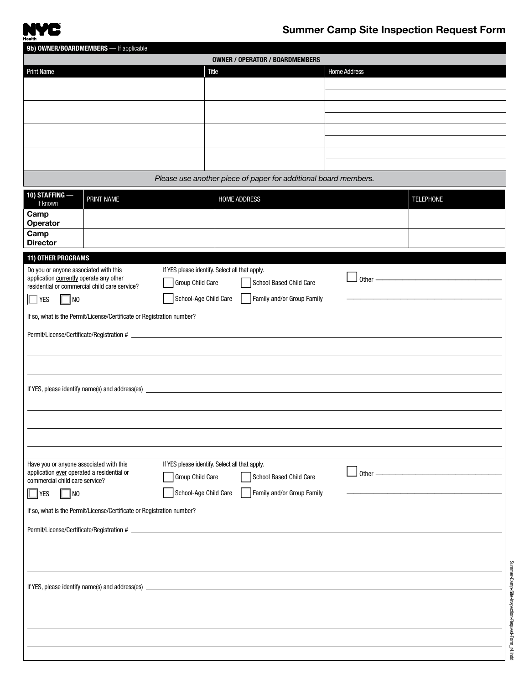

Summer-Camp-Site-Inspection-Request-Form\_r4.indd

Summer-Camp-Site-Inspection-Request-Form\_r4.indd

| 9b) OWNER/BOARDMEMBERS - If applicable<br><b>OWNER / OPERATOR / BOARDMEMBERS</b>      |                                                                       |                                                |              |                     |                                                                 |  |                     |                         |
|---------------------------------------------------------------------------------------|-----------------------------------------------------------------------|------------------------------------------------|--------------|---------------------|-----------------------------------------------------------------|--|---------------------|-------------------------|
| <b>Print Name</b>                                                                     |                                                                       |                                                | <b>Title</b> |                     |                                                                 |  | <b>Home Address</b> |                         |
|                                                                                       |                                                                       |                                                |              |                     |                                                                 |  |                     |                         |
|                                                                                       |                                                                       |                                                |              |                     |                                                                 |  |                     |                         |
|                                                                                       |                                                                       |                                                |              |                     |                                                                 |  |                     |                         |
|                                                                                       |                                                                       |                                                |              |                     |                                                                 |  |                     |                         |
|                                                                                       |                                                                       |                                                |              |                     |                                                                 |  |                     |                         |
|                                                                                       |                                                                       |                                                |              |                     |                                                                 |  |                     |                         |
|                                                                                       |                                                                       |                                                |              |                     | Please use another piece of paper for additional board members. |  |                     |                         |
| 10) STAFFING-<br>If known                                                             | PRINT NAME                                                            |                                                |              | <b>HOME ADDRESS</b> |                                                                 |  |                     | <b>TELEPHONE</b>        |
| Camp<br>Operator                                                                      |                                                                       |                                                |              |                     |                                                                 |  |                     |                         |
| Camp                                                                                  |                                                                       |                                                |              |                     |                                                                 |  |                     |                         |
| <b>Director</b>                                                                       |                                                                       |                                                |              |                     |                                                                 |  |                     |                         |
| <b>11) OTHER PROGRAMS</b>                                                             |                                                                       |                                                |              |                     |                                                                 |  |                     |                         |
| Do you or anyone associated with this<br>application currently operate any other      |                                                                       | If YES please identify. Select all that apply. |              |                     |                                                                 |  | Other -             |                         |
| residential or commercial child care service?                                         |                                                                       | Group Child Care                               |              |                     | School Based Child Care                                         |  |                     |                         |
| NO<br><b>YES</b>                                                                      |                                                                       | School-Age Child Care                          |              |                     | Family and/or Group Family                                      |  |                     |                         |
|                                                                                       | If so, what is the Permit/License/Certificate or Registration number? |                                                |              |                     |                                                                 |  |                     |                         |
|                                                                                       |                                                                       |                                                |              |                     |                                                                 |  |                     |                         |
|                                                                                       |                                                                       |                                                |              |                     |                                                                 |  |                     |                         |
|                                                                                       |                                                                       |                                                |              |                     |                                                                 |  |                     |                         |
|                                                                                       |                                                                       |                                                |              |                     |                                                                 |  |                     |                         |
|                                                                                       |                                                                       |                                                |              |                     |                                                                 |  |                     |                         |
|                                                                                       |                                                                       |                                                |              |                     |                                                                 |  |                     |                         |
|                                                                                       |                                                                       |                                                |              |                     |                                                                 |  |                     |                         |
|                                                                                       |                                                                       |                                                |              |                     |                                                                 |  |                     |                         |
|                                                                                       |                                                                       | If YES please identify. Select all that apply. |              |                     |                                                                 |  |                     |                         |
| Have you or anyone associated with this<br>application ever operated a residential or |                                                                       | Group Child Care                               |              |                     | School Based Child Care                                         |  |                     | Other $\longrightarrow$ |
| commercial child care service?<br><b>YES</b><br>  NO                                  |                                                                       | School-Age Child Care                          |              |                     | Family and/or Group Family                                      |  |                     |                         |
|                                                                                       |                                                                       |                                                |              |                     |                                                                 |  |                     |                         |
|                                                                                       | If so, what is the Permit/License/Certificate or Registration number? |                                                |              |                     |                                                                 |  |                     |                         |
|                                                                                       |                                                                       |                                                |              |                     |                                                                 |  |                     |                         |
|                                                                                       |                                                                       |                                                |              |                     |                                                                 |  |                     |                         |
|                                                                                       |                                                                       |                                                |              |                     |                                                                 |  |                     |                         |
|                                                                                       |                                                                       |                                                |              |                     |                                                                 |  |                     |                         |
|                                                                                       |                                                                       |                                                |              |                     |                                                                 |  |                     |                         |
|                                                                                       |                                                                       |                                                |              |                     |                                                                 |  |                     |                         |
|                                                                                       |                                                                       |                                                |              |                     |                                                                 |  |                     |                         |
|                                                                                       |                                                                       |                                                |              |                     |                                                                 |  |                     |                         |
|                                                                                       |                                                                       |                                                |              |                     |                                                                 |  |                     |                         |